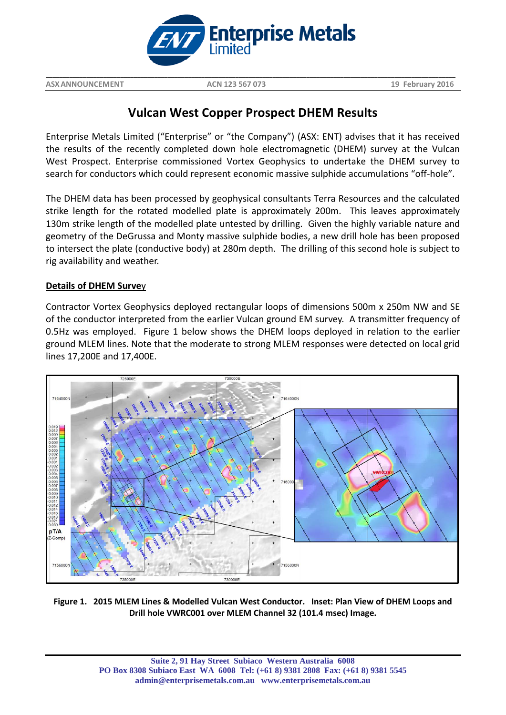

**ASXANNOUNCEMENT ACN 123 567 073 19 February 2016**

## **Vulcan West Copper Prospect DHEM Results**

**\_\_\_\_\_\_\_\_\_\_\_\_\_\_\_\_\_\_\_\_\_\_\_\_\_\_\_\_\_\_\_\_\_\_\_\_\_\_\_\_\_\_\_\_\_\_\_\_\_\_\_\_\_\_\_\_\_\_\_\_\_\_\_\_\_\_\_\_\_\_\_\_\_\_\_\_\_\_\_\_\_\_\_\_\_\_\_\_\_\_\_\_\_\_\_\_\_\_\_\_\_\_\_\_\_\_\_\_\_\_\_\_\_\_\_\_\_\_\_\_\_**

Enterprise Metals Limited ("Enterprise" or "the Company") (ASX: ENT) advises that it has received the results of the recently completed down hole electromagnetic (DHEM) survey at the Vulcan West Prospect. Enterprise commissioned Vortex Geophysics to undertake the DHEM survey to search for conductors which could represent economic massive sulphide accumulations "off-hole".

The DHEM data has been processed by geophysical consultants Terra Resources and the calculated strike length for the rotated modelled plate is approximately 200m. This leaves approximately 130m strike length of the modelled plate untested by drilling. Given the highly variable nature and geometry of the DeGrussa and Monty massive sulphide bodies, a new drill hole has been proposed to intersect the plate (conductive body) at 280m depth. The drilling of this second hole is subject to rig availability and weather.

#### **Details of DHEM Surve**y

Contractor Vortex Geophysics deployed rectangular loops of dimensions 500m x 250m NW and SE of the conductor interpreted from the earlier Vulcan ground EM survey. A transmitter frequency of 0.5Hz was employed. Figure 1 below shows the DHEM loops deployed in relation to the earlier ground MLEM lines. Note that the moderate to strong MLEM responses were detected on local grid lines 17,200E and 17,400E.



**Figure 1. 2015 MLEM Lines & Modelled Vulcan West Conductor. Inset: Plan View of DHEM Loops and Drill hole VWRC001 over MLEM Channel 32 (101.4 msec) Image.**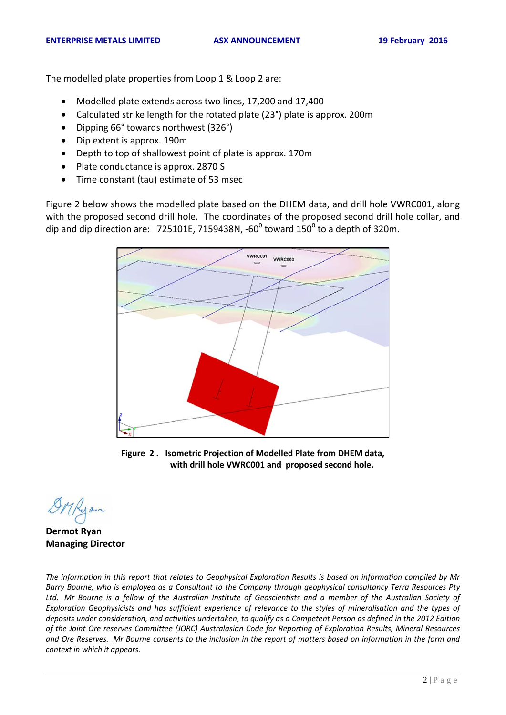The modelled plate properties from Loop 1 & Loop 2 are:

- Modelled plate extends across two lines, 17,200 and 17,400
- Calculated strike length for the rotated plate (23°) plate is approx. 200m
- Dipping 66° towards northwest (326°)
- Dip extent is approx. 190m
- Depth to top of shallowest point of plate is approx. 170m
- Plate conductance is approx. 2870 S
- Time constant (tau) estimate of 53 msec

Figure 2 below shows the modelled plate based on the DHEM data, and drill hole VWRC001, along with the proposed second drill hole. The coordinates of the proposed second drill hole collar, and dip and dip direction are:  $725101E$ ,  $7159438N$ ,  $-60^0$  toward  $150^0$  to a depth of 320m.



**Figure 2 . Isometric Projection of Modelled Plate from DHEM data, with drill hole VWRC001 and proposed second hole.**

Mryan

**Dermot Ryan Managing Director**

*The information in this report that relates to Geophysical Exploration Results is based on information compiled by Mr Barry Bourne, who is employed as a Consultant to the Company through geophysical consultancy Terra Resources Pty Ltd. Mr Bourne is a fellow of the Australian Institute of Geoscientists and a member of the Australian Society of Exploration Geophysicists and has sufficient experience of relevance to the styles of mineralisation and the types of deposits under consideration, and activities undertaken, to qualify as a Competent Person as defined in the 2012 Edition of the Joint Ore reserves Committee (JORC) Australasian Code for Reporting of Exploration Results, Mineral Resources and Ore Reserves. Mr Bourne consents to the inclusion in the report of matters based on information in the form and context in which it appears.*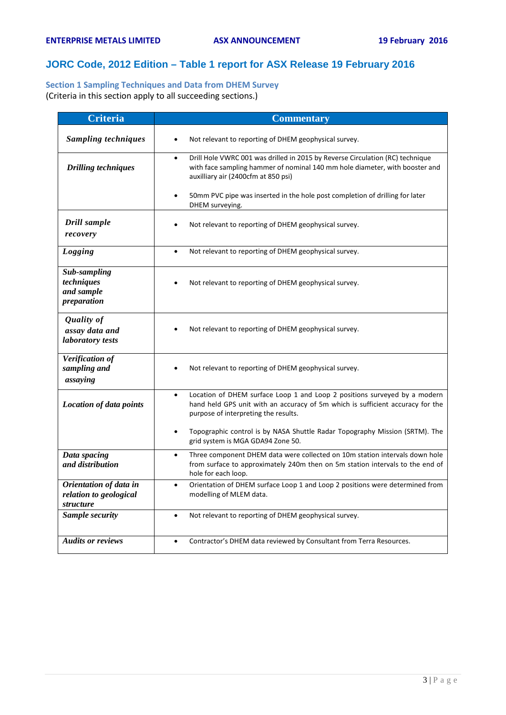# **JORC Code, 2012 Edition – Table 1 report for ASX Release 19 February 2016**

### **Section 1 Sampling Techniques and Data from DHEM Survey**

(Criteria in this section apply to all succeeding sections.)

| <b>Criteria</b>                                                      | <b>Commentary</b>                                                                                                                                                                                                |  |  |  |  |  |
|----------------------------------------------------------------------|------------------------------------------------------------------------------------------------------------------------------------------------------------------------------------------------------------------|--|--|--|--|--|
| <b>Sampling techniques</b>                                           | Not relevant to reporting of DHEM geophysical survey.                                                                                                                                                            |  |  |  |  |  |
| <b>Drilling techniques</b>                                           | Drill Hole VWRC 001 was drilled in 2015 by Reverse Circulation (RC) technique<br>$\bullet$<br>with face sampling hammer of nominal 140 mm hole diameter, with booster and<br>auxilliary air (2400cfm at 850 psi) |  |  |  |  |  |
|                                                                      | 50mm PVC pipe was inserted in the hole post completion of drilling for later<br>DHEM surveying.                                                                                                                  |  |  |  |  |  |
| Drill sample<br>recovery                                             | Not relevant to reporting of DHEM geophysical survey.                                                                                                                                                            |  |  |  |  |  |
| Logging                                                              | Not relevant to reporting of DHEM geophysical survey.<br>$\bullet$                                                                                                                                               |  |  |  |  |  |
| Sub-sampling<br>techniques<br>and sample<br>preparation              | Not relevant to reporting of DHEM geophysical survey.                                                                                                                                                            |  |  |  |  |  |
| <b>Quality of</b><br>assay data and<br>laboratory tests              | Not relevant to reporting of DHEM geophysical survey.                                                                                                                                                            |  |  |  |  |  |
| Verification of<br>sampling and<br>assaying                          | Not relevant to reporting of DHEM geophysical survey.                                                                                                                                                            |  |  |  |  |  |
| <b>Location of data points</b>                                       | Location of DHEM surface Loop 1 and Loop 2 positions surveyed by a modern<br>$\bullet$<br>hand held GPS unit with an accuracy of 5m which is sufficient accuracy for the<br>purpose of interpreting the results. |  |  |  |  |  |
|                                                                      | Topographic control is by NASA Shuttle Radar Topography Mission (SRTM). The<br>grid system is MGA GDA94 Zone 50.                                                                                                 |  |  |  |  |  |
| Data spacing<br>and distribution                                     | Three component DHEM data were collected on 10m station intervals down hole<br>$\bullet$<br>from surface to approximately 240m then on 5m station intervals to the end of<br>hole for each loop.                 |  |  |  |  |  |
| Orientation of data in<br>relation to geological<br><i>structure</i> | Orientation of DHEM surface Loop 1 and Loop 2 positions were determined from<br>$\bullet$<br>modelling of MLEM data.                                                                                             |  |  |  |  |  |
| Sample security                                                      | Not relevant to reporting of DHEM geophysical survey.<br>$\bullet$                                                                                                                                               |  |  |  |  |  |
| <b>Audits or reviews</b>                                             | Contractor's DHEM data reviewed by Consultant from Terra Resources.                                                                                                                                              |  |  |  |  |  |